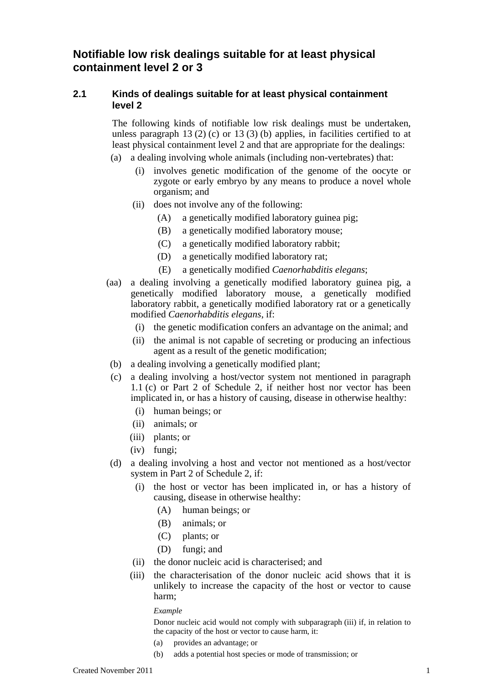# **Notifiable low risk dealings suitable for at least physical containment level 2 or 3**

## **2.1 Kinds of dealings suitable for at least physical containment level 2**

 The following kinds of notifiable low risk dealings must be undertaken, unless paragraph 13 (2) (c) or 13 (3) (b) applies, in facilities certified to at least physical containment level 2 and that are appropriate for the dealings:

- (a) a dealing involving whole animals (including non-vertebrates) that:
	- (i) involves genetic modification of the genome of the oocyte or zygote or early embryo by any means to produce a novel whole organism; and
	- (ii) does not involve any of the following:
		- (A) a genetically modified laboratory guinea pig;
		- (B) a genetically modified laboratory mouse;
		- (C) a genetically modified laboratory rabbit;
		- (D) a genetically modified laboratory rat;
		- (E) a genetically modified *Caenorhabditis elegans*;
- (aa) a dealing involving a genetically modified laboratory guinea pig, a genetically modified laboratory mouse, a genetically modified laboratory rabbit, a genetically modified laboratory rat or a genetically modified *Caenorhabditis elegans*, if:
	- (i) the genetic modification confers an advantage on the animal; and
	- (ii) the animal is not capable of secreting or producing an infectious agent as a result of the genetic modification;
- (b) a dealing involving a genetically modified plant;
- (c) a dealing involving a host/vector system not mentioned in paragraph 1.1 (c) or Part 2 of Schedule 2, if neither host nor vector has been implicated in, or has a history of causing, disease in otherwise healthy:
	- (i) human beings; or
	- (ii) animals; or
	- (iii) plants; or
	- (iv) fungi;
- (d) a dealing involving a host and vector not mentioned as a host/vector system in Part 2 of Schedule 2, if:
	- (i) the host or vector has been implicated in, or has a history of causing, disease in otherwise healthy:
		- (A) human beings; or
		- (B) animals; or
		- (C) plants; or
		- (D) fungi; and
	- (ii) the donor nucleic acid is characterised; and
	- (iii) the characterisation of the donor nucleic acid shows that it is unlikely to increase the capacity of the host or vector to cause harm;

#### *Example*

Donor nucleic acid would not comply with subparagraph (iii) if, in relation to the capacity of the host or vector to cause harm, it:

- (a) provides an advantage; or
- (b) adds a potential host species or mode of transmission; or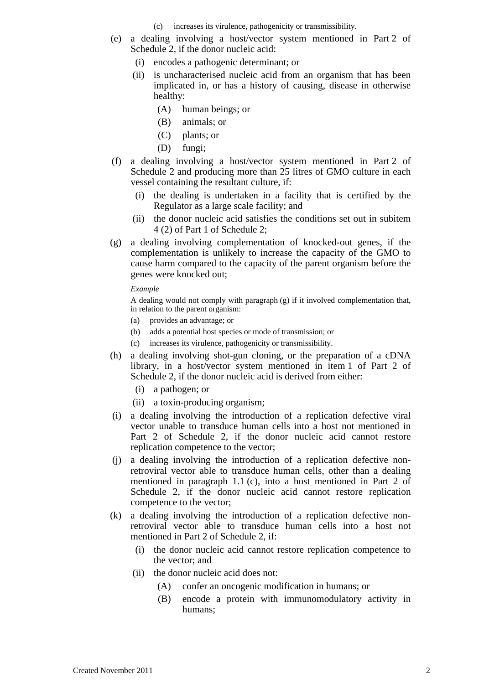- (c) increases its virulence, pathogenicity or transmissibility.
- (e) a dealing involving a host/vector system mentioned in Part 2 of Schedule 2, if the donor nucleic acid:
	- (i) encodes a pathogenic determinant; or
	- (ii) is uncharacterised nucleic acid from an organism that has been implicated in, or has a history of causing, disease in otherwise healthy:
		- (A) human beings; or
		- (B) animals; or
		- (C) plants; or
		- (D) fungi;
- (f) a dealing involving a host/vector system mentioned in Part 2 of Schedule 2 and producing more than 25 litres of GMO culture in each vessel containing the resultant culture, if:
	- (i) the dealing is undertaken in a facility that is certified by the Regulator as a large scale facility; and
	- (ii) the donor nucleic acid satisfies the conditions set out in subitem 4 (2) of Part 1 of Schedule 2;
- (g) a dealing involving complementation of knocked-out genes, if the complementation is unlikely to increase the capacity of the GMO to cause harm compared to the capacity of the parent organism before the genes were knocked out;

#### *Example*

A dealing would not comply with paragraph (g) if it involved complementation that, in relation to the parent organism:

- (a) provides an advantage; or
- (b) adds a potential host species or mode of transmission; or
- (c) increases its virulence, pathogenicity or transmissibility.
- (h) a dealing involving shot-gun cloning, or the preparation of a cDNA library, in a host/vector system mentioned in item 1 of Part 2 of Schedule 2, if the donor nucleic acid is derived from either:
	- (i) a pathogen; or
	- (ii) a toxin-producing organism;
- (i) a dealing involving the introduction of a replication defective viral vector unable to transduce human cells into a host not mentioned in Part 2 of Schedule 2, if the donor nucleic acid cannot restore replication competence to the vector;
- (j) a dealing involving the introduction of a replication defective nonretroviral vector able to transduce human cells, other than a dealing mentioned in paragraph 1.1 (c), into a host mentioned in Part 2 of Schedule 2, if the donor nucleic acid cannot restore replication competence to the vector;
- (k) a dealing involving the introduction of a replication defective nonretroviral vector able to transduce human cells into a host not mentioned in Part 2 of Schedule 2, if:
	- (i) the donor nucleic acid cannot restore replication competence to the vector; and
	- (ii) the donor nucleic acid does not:
		- (A) confer an oncogenic modification in humans; or
		- (B) encode a protein with immunomodulatory activity in humans;